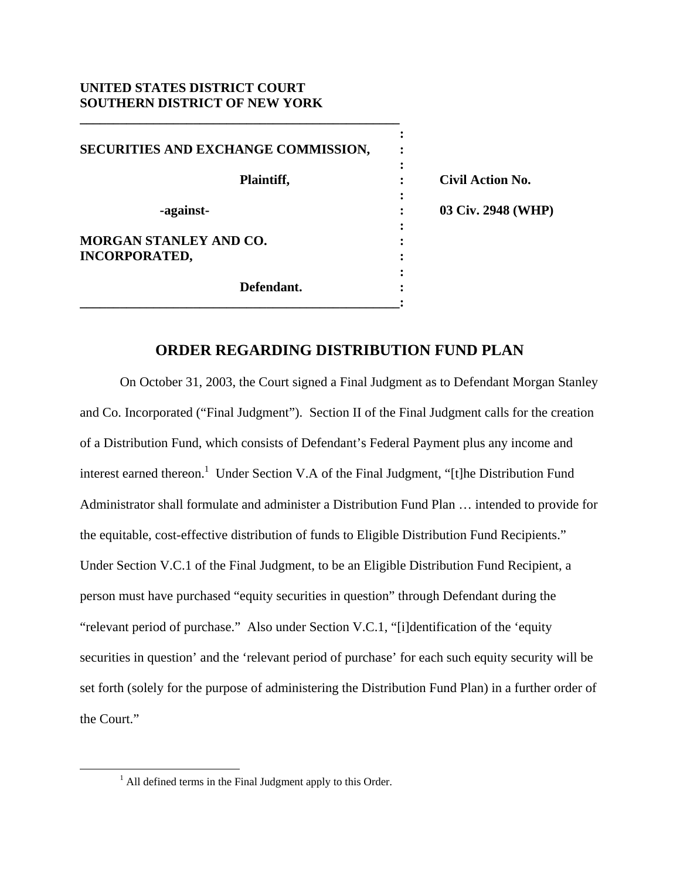## **UNITED STATES DISTRICT COURT SOUTHERN DISTRICT OF NEW YORK**

**\_\_\_\_\_\_\_\_\_\_\_\_\_\_\_\_\_\_\_\_\_\_\_\_\_\_\_\_\_\_\_\_\_\_\_\_\_\_\_\_\_\_\_\_\_\_\_\_** 

| SECURITIES AND EXCHANGE COMMISSION,                   |                         |
|-------------------------------------------------------|-------------------------|
| Plaintiff,                                            | <b>Civil Action No.</b> |
| -against-                                             | 03 Civ. 2948 (WHP)      |
| <b>MORGAN STANLEY AND CO.</b><br><b>INCORPORATED,</b> |                         |
| Defendant.                                            |                         |

## **ORDER REGARDING DISTRIBUTION FUND PLAN**

 On October 31, 2003, the Court signed a Final Judgment as to Defendant Morgan Stanley and Co. Incorporated ("Final Judgment"). Section II of the Final Judgment calls for the creation of a Distribution Fund, which consists of Defendant's Federal Payment plus any income and interest earned thereon.<sup>1</sup> Under Section V.A of the Final Judgment, "[t]he Distribution Fund Administrator shall formulate and administer a Distribution Fund Plan … intended to provide for the equitable, cost-effective distribution of funds to Eligible Distribution Fund Recipients." Under Section V.C.1 of the Final Judgment, to be an Eligible Distribution Fund Recipient, a person must have purchased "equity securities in question" through Defendant during the "relevant period of purchase." Also under Section V.C.1, "[i]dentification of the 'equity securities in question' and the 'relevant period of purchase' for each such equity security will be set forth (solely for the purpose of administering the Distribution Fund Plan) in a further order of the Court."

 $\frac{1}{1}$  $<sup>1</sup>$  All defined terms in the Final Judgment apply to this Order.</sup>